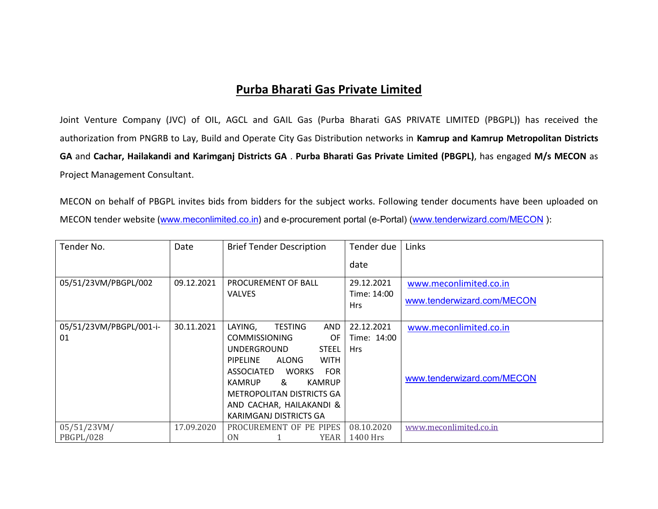## **Purba Bharati Gas Private Limited**

Joint Venture Company (JVC) of OIL, AGCL and GAIL Gas (Purba Bharati GAS PRIVATE LIMITED (PBGPL)) has received the authorization from PNGRB to Lay, Build and Operate City Gas Distribution networks in **Kamrup and Kamrup Metropolitan Districts GA** and **Cachar, Hailakandi and Karimganj Districts GA** . **Purba Bharati Gas Private Limited (PBGPL)**, has engaged **M/s MECON** as Project Management Consultant.

MECON on behalf of PBGPL invites bids from bidders for the subject works. Following tender documents have been uploaded on MECON tender website ([www.meconlimited.co.in](http://www.meconlimited.co.in/)) and e-procurement portal (e-Portal) (www.tenderwizard.com/MECON):

| Tender No.              | Date       | <b>Brief Tender Description</b>          | Tender due                | Links                      |
|-------------------------|------------|------------------------------------------|---------------------------|----------------------------|
|                         |            |                                          | date                      |                            |
| 05/51/23VM/PBGPL/002    | 09.12.2021 | PROCUREMENT OF BALL                      | 29.12.2021                | www.meconlimited.co.in     |
|                         |            | <b>VALVES</b>                            | Time: 14:00<br><b>Hrs</b> | www.tenderwizard.com/MECON |
| 05/51/23VM/PBGPL/001-i- | 30.11.2021 | LAYING,<br><b>TESTING</b><br><b>AND</b>  | 22.12.2021                | www.meconlimited.co.in     |
| 01                      |            | <b>COMMISSIONING</b><br>OF               | Time: 14:00               |                            |
|                         |            | <b>UNDERGROUND</b><br><b>STEEL</b>       | <b>Hrs</b>                |                            |
|                         |            | ALONG<br><b>WITH</b><br><b>PIPELINE</b>  |                           |                            |
|                         |            | <b>FOR</b><br>ASSOCIATED<br><b>WORKS</b> |                           | www.tenderwizard.com/MECON |
|                         |            | &<br><b>KAMRUP</b><br>KAMRUP             |                           |                            |
|                         |            | METROPOLITAN DISTRICTS GA                |                           |                            |
|                         |            | AND CACHAR, HAILAKANDI &                 |                           |                            |
|                         |            | KARIMGANJ DISTRICTS GA                   |                           |                            |
| 05/51/23VM/             | 17.09.2020 | PROCUREMENT OF PE PIPES                  | 08.10.2020                | www.meconlimited.co.in     |
| PBGPL/028               |            | 0 <sub>N</sub><br><b>YEAR</b>            | 1400 Hrs                  |                            |